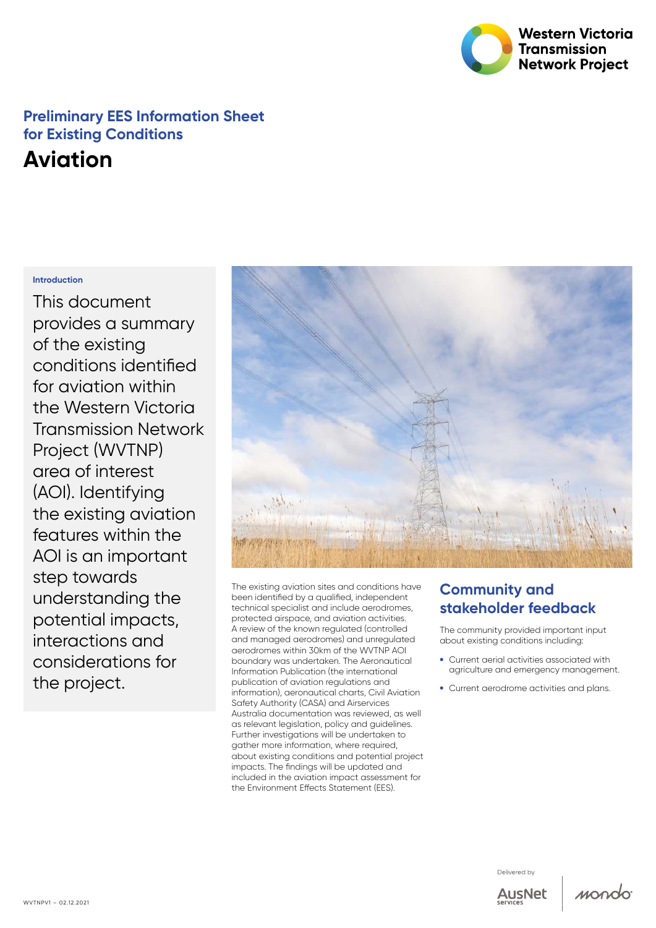

# **Preliminary EES Information Sheet for Existing Conditions**

# **Aviation**

#### **Introduction**

This document provides a summary of the existing conditions identified for aviation within the Western Victoria Transmission Network Project (WVTNP) area of interest (AOI). Identifying the existing aviation features within the AOI is an important step towards understanding the potential impacts, interactions and considerations for the project.



The existing aviation sites and conditions have been identified by a qualified, independent technical specialist and include aerodromes, protected airspace, and aviation activities. A review of the known regulated (controlled and managed aerodromes) and unregulated aerodromes within 30km of the WVTNP AOI boundary was undertaken. The Aeronautical Information Publication (the international publication of aviation regulations and information), aeronautical charts, Civil Aviation Safety Authority (CASA) and Airservices Australia documentation was reviewed, as well as relevant legislation, policy and guidelines. Further investigations will be undertaken to gather more information, where required, about existing conditions and potential project impacts. The findings will be updated and included in the aviation impact assessment for the Environment Effects Statement (EES).

### **Community and stakeholder feedback**

The community provided important input about existing conditions including:

- • Current aerial activities associated with agriculture and emergency management.
- Current aerodrome activities and plans.

Delivered by



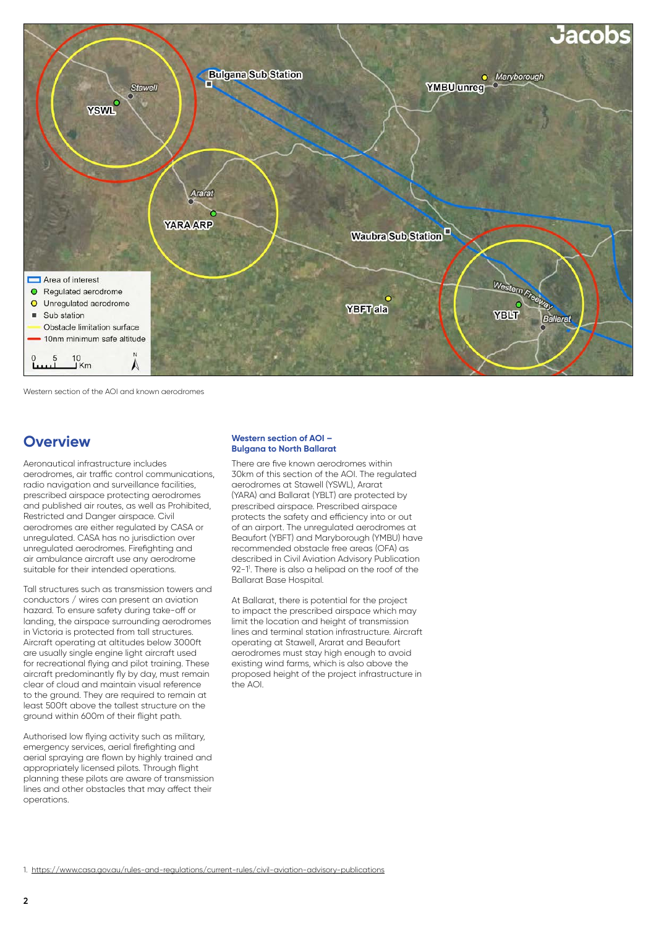

Western section of the AOI and known aerodromes

#### **Overview**

Aeronautical infrastructure includes aerodromes, air traffic control communications, radio navigation and surveillance facilities, prescribed airspace protecting aerodromes and published air routes, as well as Prohibited, Restricted and Danger airspace. Civil aerodromes are either regulated by CASA or unregulated. CASA has no jurisdiction over unregulated aerodromes. Firefighting and air ambulance aircraft use any aerodrome suitable for their intended operations.

Tall structures such as transmission towers and conductors / wires can present an aviation hazard. To ensure safety during take-off or landing, the airspace surrounding aerodromes in Victoria is protected from tall structures. Aircraft operating at altitudes below 3000ft are usually single engine light aircraft used for recreational flying and pilot training. These aircraft predominantly fly by day, must remain clear of cloud and maintain visual reference to the ground. They are required to remain at least 500ft above the tallest structure on the ground within 600m of their flight path.

Authorised low flying activity such as military, emergency services, aerial firefighting and aerial spraying are flown by highly trained and appropriately licensed pilots. Through flight planning these pilots are aware of transmission lines and other obstacles that may affect their operations.

#### **Western section of AOI – Bulgana to North Ballarat**

There are five known aerodromes within 30km of this section of the AOI. The regulated aerodromes at Stawell (YSWL), Ararat (YARA) and Ballarat (YBLT) are protected by prescribed airspace. Prescribed airspace protects the safety and efficiency into or out of an airport. The unregulated aerodromes at Beaufort (YBFT) and Maryborough (YMBU) have recommended obstacle free areas (OFA) as described in Civil Aviation Advisory Publication 92-11 . There is also a helipad on the roof of the Ballarat Base Hospital.

At Ballarat, there is potential for the project to impact the prescribed airspace which may limit the location and height of transmission lines and terminal station infrastructure. Aircraft operating at Stawell, Ararat and Beaufort aerodromes must stay high enough to avoid existing wind farms, which is also above the proposed height of the project infrastructure in the AOI.

1. <https://www.casa.gov.au/rules-and-regulations/current-rules/civil-aviation-advisory-publications>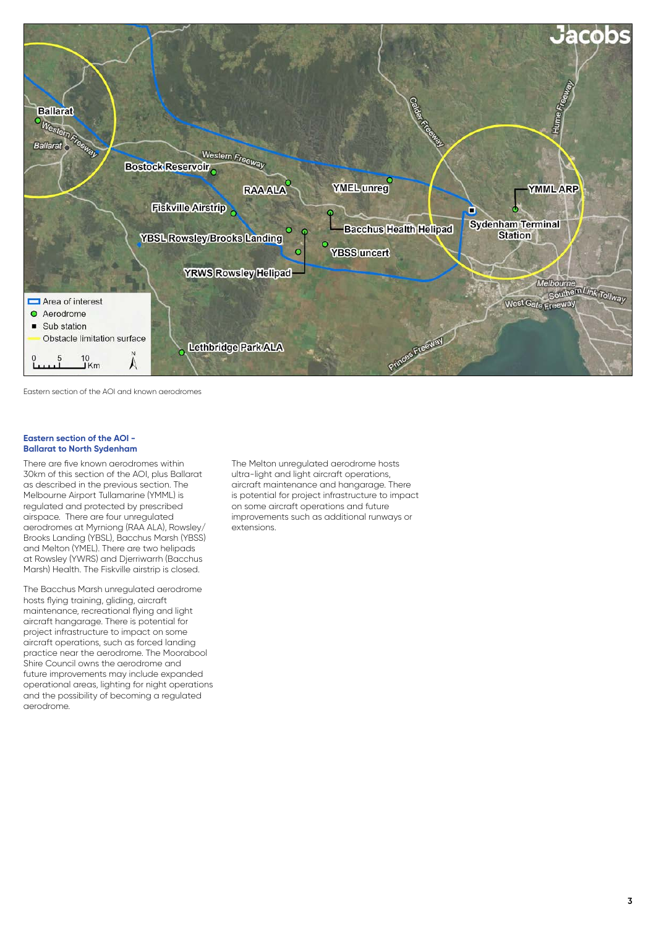

Eastern section of the AOI and known aerodromes

#### **Eastern section of the AOI - Ballarat to North Sydenham**

There are five known aerodromes within 30km of this section of the AOI, plus Ballarat as described in the previous section. The Melbourne Airport Tullamarine (YMML) is regulated and protected by prescribed airspace. There are four unregulated aerodromes at Myrniong (RAA ALA), Rowsley/ Brooks Landing (YBSL), Bacchus Marsh (YBSS) and Melton (YMEL). There are two helipads at Rowsley (YWRS) and Djerriwarrh (Bacchus Marsh) Health. The Fiskville airstrip is closed.

The Bacchus Marsh unregulated aerodrome hosts flying training, gliding, aircraft maintenance, recreational flying and light aircraft hangarage. There is potential for project infrastructure to impact on some aircraft operations, such as forced landing practice near the aerodrome. The Moorabool Shire Council owns the aerodrome and future improvements may include expanded operational areas, lighting for night operations and the possibility of becoming a regulated aerodrome.

The Melton unregulated aerodrome hosts ultra-light and light aircraft operations, aircraft maintenance and hangarage. There is potential for project infrastructure to impact on some aircraft operations and future improvements such as additional runways or extensions.